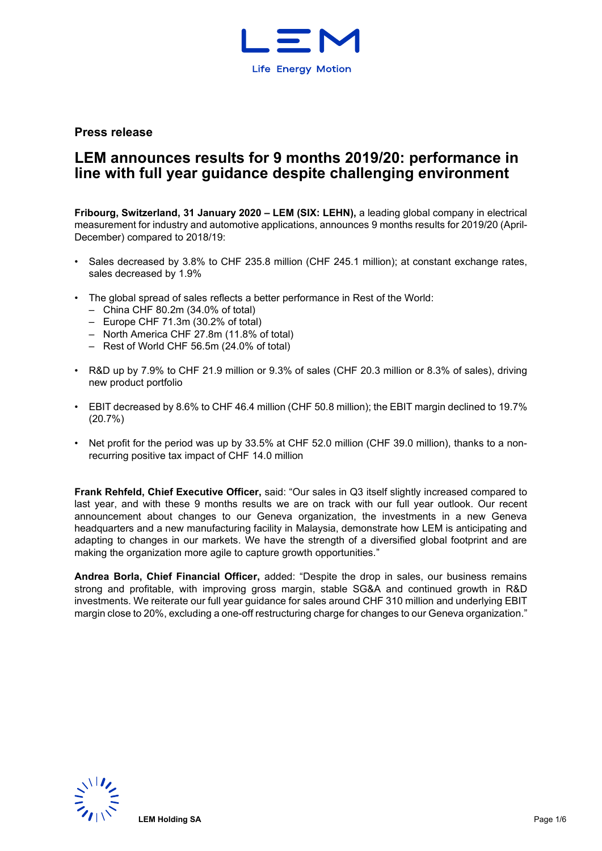

**Press release**

# **LEM announces results for 9 months 2019/20: performance in line with full year guidance despite challenging environment**

**Fribourg, Switzerland, 31 January 2020 – LEM (SIX: LEHN),** a leading global company in electrical measurement for industry and automotive applications, announces 9 months results for 2019/20 (April-December) compared to 2018/19:

- Sales decreased by 3.8% to CHF 235.8 million (CHF 245.1 million); at constant exchange rates, sales decreased by 1.9%
- The global spread of sales reflects a better performance in Rest of the World:
	- China CHF 80.2m (34.0% of total)
	- Europe CHF 71.3m (30.2% of total)
	- North America CHF 27.8m (11.8% of total)
	- Rest of World CHF 56.5m (24.0% of total)
- R&D up by 7.9% to CHF 21.9 million or 9.3% of sales (CHF 20.3 million or 8.3% of sales), driving new product portfolio
- EBIT decreased by 8.6% to CHF 46.4 million (CHF 50.8 million); the EBIT margin declined to 19.7% (20.7%)
- Net profit for the period was up by 33.5% at CHF 52.0 million (CHF 39.0 million), thanks to a nonrecurring positive tax impact of CHF 14.0 million

**Frank Rehfeld, Chief Executive Officer,** said: "Our sales in Q3 itself slightly increased compared to last year, and with these 9 months results we are on track with our full year outlook. Our recent announcement about changes to our Geneva organization, the investments in a new Geneva headquarters and a new manufacturing facility in Malaysia, demonstrate how LEM is anticipating and adapting to changes in our markets. We have the strength of a diversified global footprint and are making the organization more agile to capture growth opportunities."

**Andrea Borla, Chief Financial Officer,** added: "Despite the drop in sales, our business remains strong and profitable, with improving gross margin, stable SG&A and continued growth in R&D investments. We reiterate our full year guidance for sales around CHF 310 million and underlying EBIT margin close to 20%, excluding a one-off restructuring charge for changes to our Geneva organization."

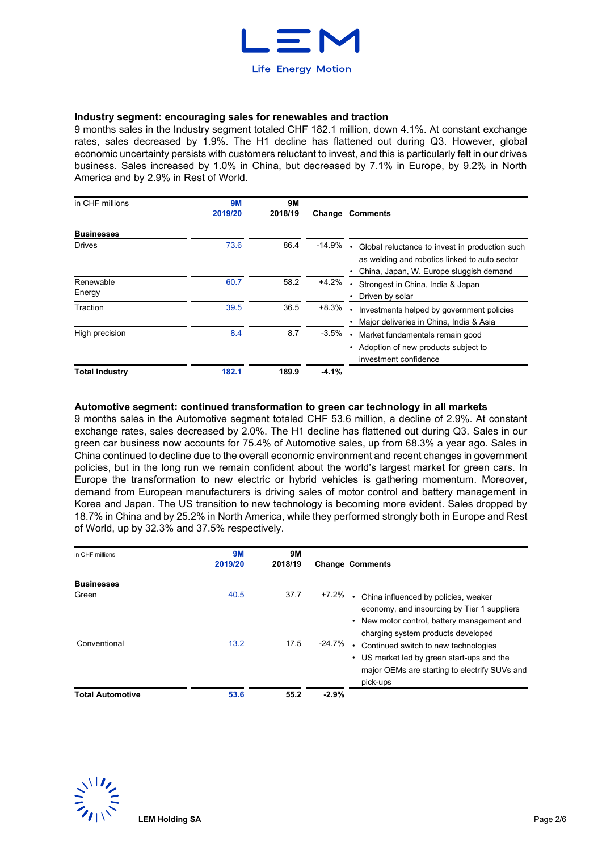

# **Industry segment: encouraging sales for renewables and traction**

9 months sales in the Industry segment totaled CHF 182.1 million, down 4.1%. At constant exchange rates, sales decreased by 1.9%. The H1 decline has flattened out during Q3. However, global economic uncertainty persists with customers reluctant to invest, and this is particularly felt in our drives business. Sales increased by 1.0% in China, but decreased by 7.1% in Europe, by 9.2% in North America and by 2.9% in Rest of World.

| in CHF millions       | <b>9M</b><br>2019/20 | <b>9M</b><br>2018/19 | Change   | <b>Comments</b>                                                                                                                            |
|-----------------------|----------------------|----------------------|----------|--------------------------------------------------------------------------------------------------------------------------------------------|
| <b>Businesses</b>     |                      |                      |          |                                                                                                                                            |
| <b>Drives</b>         | 73.6                 | 86.4                 | $-14.9%$ | Global reluctance to invest in production such<br>as welding and robotics linked to auto sector<br>China, Japan, W. Europe sluggish demand |
| Renewable<br>Energy   | 60.7                 | 58.2                 | $+4.2%$  | Strongest in China, India & Japan<br>Driven by solar<br>$\bullet$                                                                          |
| Traction              | 39.5                 | 36.5                 | $+8.3%$  | Investments helped by government policies<br>Major deliveries in China, India & Asia                                                       |
| High precision        | 8.4                  | 8.7                  | $-3.5%$  | Market fundamentals remain good<br>Adoption of new products subject to<br>٠<br>investment confidence                                       |
| <b>Total Industry</b> | 182.1                | 189.9                | $-4.1%$  |                                                                                                                                            |

#### **Automotive segment: continued transformation to green car technology in all markets**

9 months sales in the Automotive segment totaled CHF 53.6 million, a decline of 2.9%. At constant exchange rates, sales decreased by 2.0%. The H1 decline has flattened out during Q3. Sales in our green car business now accounts for 75.4% of Automotive sales, up from 68.3% a year ago. Sales in China continued to decline due to the overall economic environment and recent changes in government policies, but in the long run we remain confident about the world's largest market for green cars. In Europe the transformation to new electric or hybrid vehicles is gathering momentum. Moreover, demand from European manufacturers is driving sales of motor control and battery management in Korea and Japan. The US transition to new technology is becoming more evident. Sales dropped by 18.7% in China and by 25.2% in North America, while they performed strongly both in Europe and Rest of World, up by 32.3% and 37.5% respectively.

| in CHF millions         | <b>9M</b><br>2019/20 | <b>9M</b><br>2018/19 |         | <b>Change Comments</b>                                                                                                                                                 |
|-------------------------|----------------------|----------------------|---------|------------------------------------------------------------------------------------------------------------------------------------------------------------------------|
| <b>Businesses</b>       |                      |                      |         |                                                                                                                                                                        |
| Green                   | 40.5                 | 37.7                 | $+7.2%$ | China influenced by policies, weaker<br>economy, and insourcing by Tier 1 suppliers<br>New motor control, battery management and<br>charging system products developed |
| Conventional            | 13.2                 | 17.5                 | -24.7%  | Continued switch to new technologies<br>• US market led by green start-ups and the<br>major OEMs are starting to electrify SUVs and<br>pick-ups                        |
| <b>Total Automotive</b> | 53.6                 | 55.2                 | $-2.9%$ |                                                                                                                                                                        |

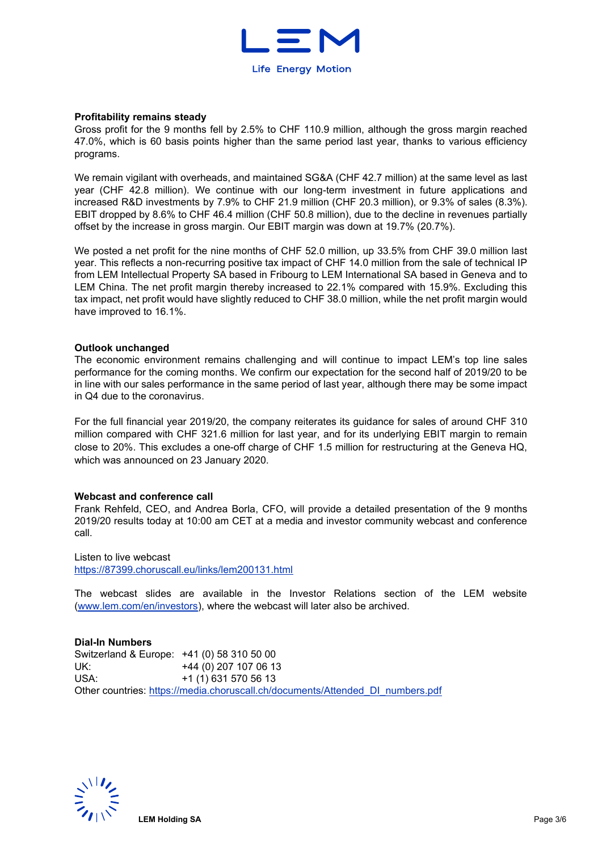

#### **Profitability remains steady**

Gross profit for the 9 months fell by 2.5% to CHF 110.9 million, although the gross margin reached 47.0%, which is 60 basis points higher than the same period last year, thanks to various efficiency programs.

We remain vigilant with overheads, and maintained SG&A (CHF 42.7 million) at the same level as last year (CHF 42.8 million). We continue with our long-term investment in future applications and increased R&D investments by 7.9% to CHF 21.9 million (CHF 20.3 million), or 9.3% of sales (8.3%). EBIT dropped by 8.6% to CHF 46.4 million (CHF 50.8 million), due to the decline in revenues partially offset by the increase in gross margin. Our EBIT margin was down at 19.7% (20.7%).

We posted a net profit for the nine months of CHF 52.0 million, up 33.5% from CHF 39.0 million last year. This reflects a non-recurring positive tax impact of CHF 14.0 million from the sale of technical IP from LEM Intellectual Property SA based in Fribourg to LEM International SA based in Geneva and to LEM China. The net profit margin thereby increased to 22.1% compared with 15.9%. Excluding this tax impact, net profit would have slightly reduced to CHF 38.0 million, while the net profit margin would have improved to 16.1%.

#### **Outlook unchanged**

The economic environment remains challenging and will continue to impact LEM's top line sales performance for the coming months. We confirm our expectation for the second half of 2019/20 to be in line with our sales performance in the same period of last year, although there may be some impact in Q4 due to the coronavirus.

For the full financial year 2019/20, the company reiterates its guidance for sales of around CHF 310 million compared with CHF 321.6 million for last year, and for its underlying EBIT margin to remain close to 20%. This excludes a one-off charge of CHF 1.5 million for restructuring at the Geneva HQ, which was announced on 23 January 2020.

#### **Webcast and conference call**

Frank Rehfeld, CEO, and Andrea Borla, CFO, will provide a detailed presentation of the 9 months 2019/20 results today at 10:00 am CET at a media and investor community webcast and conference call.

Listen to live webcast <https://87399.choruscall.eu/links/lem200131.html>

The webcast slides are available in the Investor Relations section of the LEM website [\(www.lem.com/en/investors\)](http://www.lem.com/en/investors), where the webcast will later also be archived.

# **Dial-In Numbers**

Switzerland & Europe: +41 (0) 58 310 50 00 UK: +44 (0) 207 107 06 13 USA: +1 (1) 631 570 56 13 Other countries: [https://media.choruscall.ch/documents/Attended\\_DI\\_numbers.pdf](https://media.choruscall.ch/documents/Attended_DI_numbers.pdf)

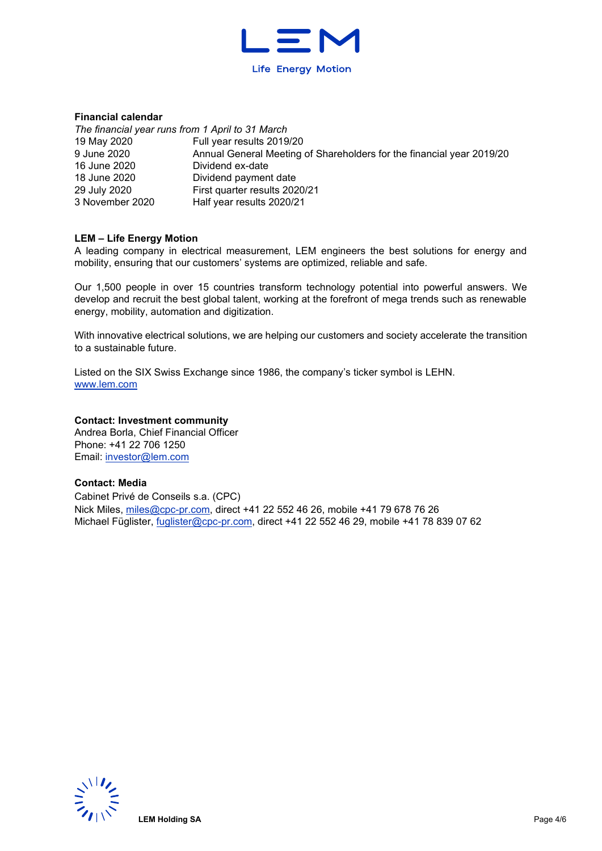

### **Financial calendar**

*The financial year runs from 1 April to 31 March* 19 May 2020 9 June 2020 16 June 2020 18 June 2020 29 July 2020 3 November 2020 Full year results 2019/20 Annual General Meeting of Shareholders for the financial year 2019/20 Dividend ex-date Dividend payment date First quarter results 2020/21 Half year results 2020/21

### **LEM – Life Energy Motion**

A leading company in electrical measurement, LEM engineers the best solutions for energy and mobility, ensuring that our customers' systems are optimized, reliable and safe.

Our 1,500 people in over 15 countries transform technology potential into powerful answers. We develop and recruit the best global talent, working at the forefront of mega trends such as renewable energy, mobility, automation and digitization.

With innovative electrical solutions, we are helping our customers and society accelerate the transition to a sustainable future.

Listed on the SIX Swiss Exchange since 1986, the company's ticker symbol is LEHN. [www.lem.com](http://www.lem.com/) 

#### **Contact: Investment community**

Andrea Borla, Chief Financial Officer Phone: +41 22 706 1250 Email: [investor@lem.com](mailto:investor@lem.com) 

### **Contact: Media**

Cabinet Privé de Conseils s.a. (CPC) Nick Miles, [miles@cpc-pr.com,](mailto:miles@cpc-pr.com) direct +41 22 552 46 26, mobile +41 79 678 76 26 Michael Füglister, [fuglister@cpc-pr.com,](mailto:fuglister@cpc-pr.com) direct +41 22 552 46 29, mobile +41 78 839 07 62

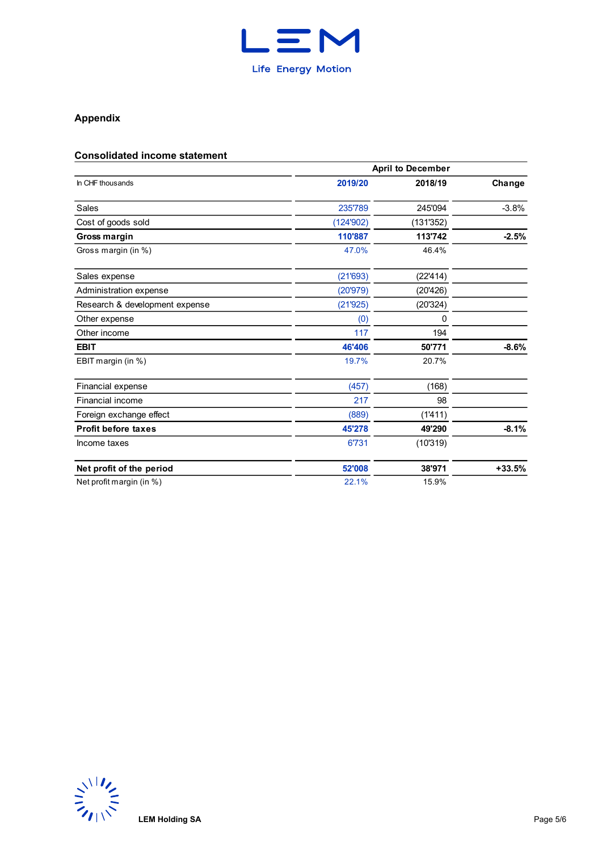

# **Appendix**

# **Consolidated income statement**

|                                |           | <b>April to December</b> |          |
|--------------------------------|-----------|--------------------------|----------|
| In CHF thousands               | 2019/20   | 2018/19                  | Change   |
| Sales                          | 235'789   | 245'094                  | $-3.8%$  |
| Cost of goods sold             | (124'902) | (131'352)                |          |
| Gross margin                   | 110'887   | 113'742                  | $-2.5%$  |
| Gross margin (in %)            | 47.0%     | 46.4%                    |          |
| Sales expense                  | (21'693)  | (22'414)                 |          |
| Administration expense         | (20'979)  | (20'426)                 |          |
| Research & development expense | (21'925)  | (20'324)                 |          |
| Other expense                  | (0)       | 0                        |          |
| Other income                   | 117       | 194                      |          |
| <b>EBIT</b>                    | 46'406    | 50'771                   | $-8.6%$  |
| EBIT margin (in %)             | 19.7%     | 20.7%                    |          |
| Financial expense              | (457)     | (168)                    |          |
| Financial income               | 217       | 98                       |          |
| Foreign exchange effect        | (889)     | (1'411)                  |          |
| <b>Profit before taxes</b>     | 45'278    | 49'290                   | $-8.1%$  |
| Income taxes                   | 6'731     | (10'319)                 |          |
| Net profit of the period       | 52'008    | 38'971                   | $+33.5%$ |
| Net profit margin (in %)       | 22.1%     | 15.9%                    |          |